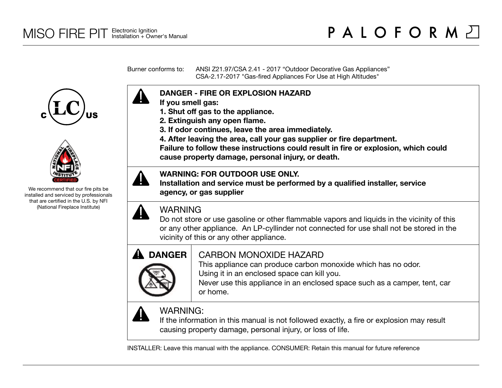Burner conforms to: ANSI Z21.97/CSA 2.41 - 2017 "Outdoor Decorative Gas Appliances" CSA-2.17-2017 "Gas-fired Appliances For Use at High Altitudes"





We recommend that our fire pits be installed and serviced by professionals that are certified in the U.S. by NFI (National Fireplace Institute)



- **If you smell gas:**
- **1. Shut off gas to the appliance.**
- **2. Extinguish any open flame.**
- **3. If odor continues, leave the area immediately.**
- **4. After leaving the area, call your gas supplier or fire department.**

**Failure to follow these instructions could result in fire or explosion, which could cause property damage, personal injury, or death.**

### **WARNING: FOR OUTDOOR USE ONLY.**

**Installation and service must be performed by a qualified installer, service agency, or gas supplier**



# WARNING

Do not store or use gasoline or other flammable vapors and liquids in the vicinity of this or any other appliance. An LP-cyllinder not connected for use shall not be stored in the vicinity of this or any other appliance.



# CARBON MONOXIDE HAZARD

This appliance can produce carbon monoxide which has no odor. Using it in an enclosed space can kill you.

Never use this appliance in an enclosed space such as a camper, tent, car or home.



# WARNING:

If the information in this manual is not followed exactly, a fire or explosion may result causing property damage, personal injury, or loss of life.

INSTALLER: Leave this manual with the appliance. CONSUMER: Retain this manual for future reference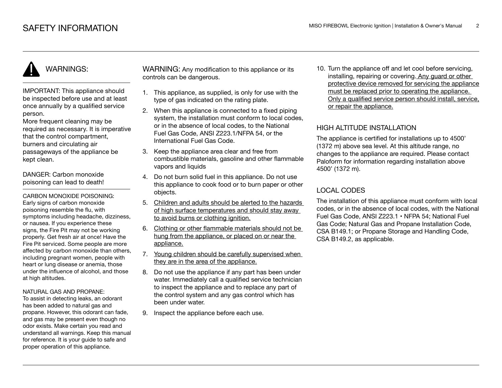# WARNINGS:

IMPORTANT: This appliance should be inspected before use and at least once annually by a qualified service person.

More frequent cleaning may be required as necessary. It is imperative that the control compartment, burners and circulating air passageways of the appliance be kept clean.

DANGER: Carbon monoxide poisoning can lead to death!

CARBON MONOXIDE POISONING: Early signs of carbon monoxide poisoning resemble the flu, with symptoms including headache, dizziness, or nausea. If you experience these signs, the Fire Pit may not be working properly. Get fresh air at once! Have the Fire Pit serviced. Some people are more affected by carbon monoxide than others, including pregnant women, people with heart or lung disease or anemia, those under the influence of alcohol, and those at high altitudes.

#### NATURAL GAS AND PROPANE:

To assist in detecting leaks, an odorant has been added to natural gas and propane. However, this odorant can fade, and gas may be present even though no odor exists. Make certain you read and understand all warnings. Keep this manual for reference. It is your guide to safe and proper operation of this appliance.

WARNING: Any modification to this appliance or its controls can be dangerous.

- 1. This appliance, as supplied, is only for use with the type of gas indicated on the rating plate.
- 2. When this appliance is connected to a fixed piping system, the installation must conform to local codes. or in the absence of local codes, to the National Fuel Gas Code, ANSI Z223.1/NFPA 54, or the International Fuel Gas Code.
- 3. Keep the appliance area clear and free from combustible materials, gasoline and other flammable vapors and liquids
- 4. Do not burn solid fuel in this appliance. Do not use this appliance to cook food or to burn paper or other objects.
- 5. Children and adults should be alerted to the hazards of high surface temperatures and should stay away to avoid burns or clothing ignition.
- 6. Clothing or other flammable materials should not be hung from the appliance, or placed on or near the appliance.
- 7. Young children should be carefully supervised when they are in the area of the appliance.
- 8. Do not use the appliance if any part has been under water. Immediately call a qualified service technician to inspect the appliance and to replace any part of the control system and any gas control which has been under water.
- 9. Inspect the appliance before each use.

10. Turn the appliance off and let cool before servicing, installing, repairing or covering. Any guard or other protective device removed for servicing the appliance must be replaced prior to operating the appliance. Only a qualified service person should install, service, or repair the appliance.

#### HIGH ALTITUDE INSTALLATION

The appliance is certified for installations up to 4500' (1372 m) above sea level. At this altitude range, no changes to the appliance are required. Please contact Paloform for information regarding installation above 4500' (1372 m).

#### LOCAL CODES

The installation of this appliance must conform with local codes, or in the absence of local codes, with the National Fuel Gas Code, ANSI Z223.1 • NFPA 54; National Fuel Gas Code; Natural Gas and Propane Installation Code, CSA B149.1; or Propane Storage and Handling Code, CSA B149.2, as applicable.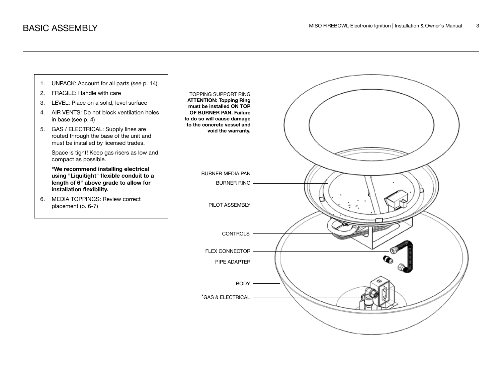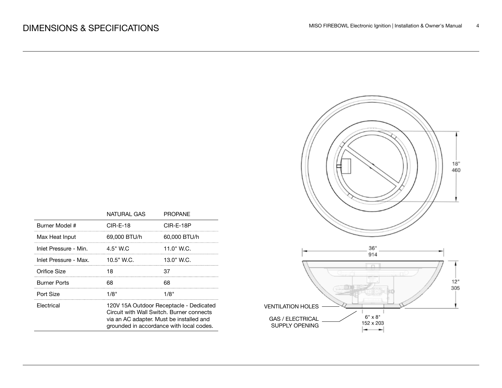|                       | NATURAL GAS                                                                                                                                                                  | <b>PROPANE</b> |  |
|-----------------------|------------------------------------------------------------------------------------------------------------------------------------------------------------------------------|----------------|--|
| Burner Model #        | $CIR-E-18$                                                                                                                                                                   | CIR-E-18P      |  |
| Max Heat Input        | 69,000 BTU/h                                                                                                                                                                 | 60,000 BTU/h   |  |
| Inlet Pressure - Min. | 4.5" W.C                                                                                                                                                                     | 11.0" W.C.     |  |
| Inlet Pressure - Max. | $10.5"$ W.C.                                                                                                                                                                 | 13.0" W.C.     |  |
| Orifice Size          | 18                                                                                                                                                                           | 37             |  |
| <b>Burner Ports</b>   | 68                                                                                                                                                                           | 68             |  |
| Port Size             | 1/8"                                                                                                                                                                         | 1/8"           |  |
| Electrical            | 120V 15A Outdoor Receptacle - Dedicated<br>Circuit with Wall Switch, Burner connects<br>via an AC adapter. Must be installed and<br>grounded in accordance with local codes. |                |  |

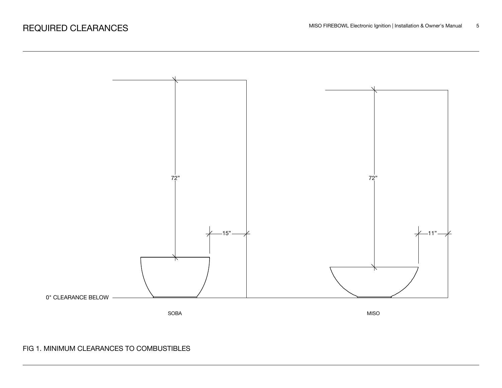

### FIG 1. MINIMUM CLEARANCES TO COMBUSTIBLES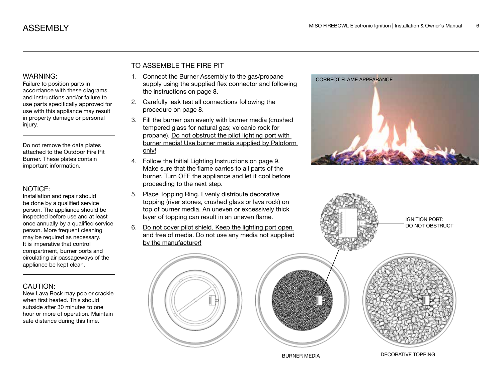accordance with these diagrams and instructions and/or failure to use parts specifically approved for use with this appliance may result in property damage or personal injury.

Do not remove the data plates attached to the Outdoor Fire Pit Burner. These plates contain important information.

#### NOTICE:

Installation and repair should be done by a qualified service person. The appliance should be inspected before use and at least once annually by a qualified service person. More frequent cleaning may be required as necessary. It is imperative that control compartment, burner ports and circulating air passageways of the appliance be kept clean.

#### CAUTION:

New Lava Rock may pop or crackle when first heated. This should subside after 30 minutes to one hour or more of operation. Maintain safe distance during this time.

#### TO ASSEMBLE THE FIRE PIT

- 1. Connect the Burner Assembly to the gas/propane WARNING: 1. Connect the Burner Assembly to the gas/propane correct FLAME APPEARANCE<br>Failure to position parts in supply using the supplied flex connector and following the instructions on page 8.
	- 2. Carefully leak test all connections following the procedure on page 8.
	- 3. Fill the burner pan evenly with burner media (crushed tempered glass for natural gas; volcanic rock for propane). Do not obstruct the pilot lighting port with burner media! Use burner media supplied by Paloform only!
	- 4. Follow the Initial Lighting Instructions on page 9. Make sure that the flame carries to all parts of the burner. Turn OFF the appliance and let it cool before proceeding to the next step.
	- 5. Place Topping Ring. Evenly distribute decorative topping (river stones, crushed glass or lava rock) on top of burner media. An uneven or excessively thick layer of topping can result in an uneven flame.
	- 6. Do not cover pilot shield. Keep the lighting port open and free of media. Do not use any media not supplied by the manufacturer!





BURNER MEDIA DECORATIVE TOPPING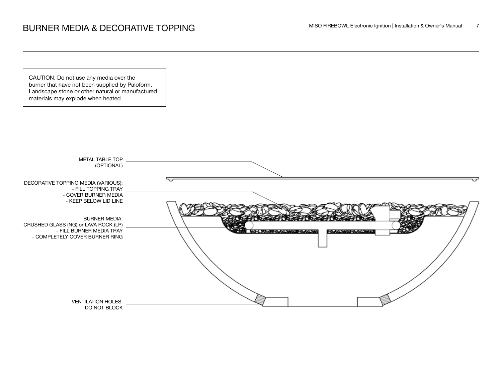CAUTION: Do not use any media over the burner that have not been supplied by Paloform. Landscape stone or other natural or manufactured materials may explode when heated.

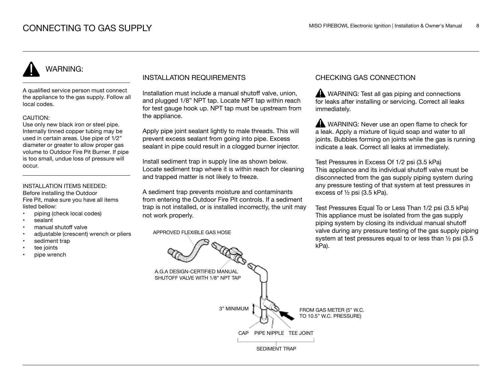# WARNING:

A qualified service person must connect the appliance to the gas supply. Follow all local codes.

#### CAUTION:

Use only new black iron or steel pipe. Internally tinned copper tubing may be used in certain areas. Use pipe of 1/2" diameter or greater to allow proper gas volume to Outdoor Fire Pit Burner. If pipe is too small, undue loss of pressure will occur.

#### INSTALLATION ITEMS NEEDED:

Before installing the Outdoor Fire Pit, make sure you have all items listed bellow:

- piping (check local codes)
- sealant
- manual shutoff valve
- adjustable (crescent) wrench or pliers
- sediment trap
- tee joints
- pipe wrench

#### INSTALLATION REQUIREMENTS

Installation must include a manual shutoff valve, union, and plugged 1/8" NPT tap. Locate NPT tap within reach for test gauge hook up. NPT tap must be upstream from the appliance.

Apply pipe joint sealant lightly to male threads. This will prevent excess sealant from going into pipe. Excess sealant in pipe could result in a clogged burner injector.

Install sediment trap in supply line as shown below. Locate sediment trap where it is within reach for cleaning and trapped matter is not likely to freeze.

A sediment trap prevents moisture and contaminants from entering the Outdoor Fire Pit controls. If a sediment trap is not installed, or is installed incorrectly, the unit may not work properly.

APPROVED FLEXIBLE GAS HOSE

#### CHECKING GAS CONNECTION

WARNING: Test all gas piping and connections for leaks after installing or servicing. Correct all leaks immediately.

WARNING: Never use an open flame to check for a leak. Apply a mixture of liquid soap and water to all joints. Bubbles forming on joints while the gas is running indicate a leak. Correct all leaks at immediately.

Test Pressures in Excess Of 1/2 psi (3.5 kPa) This appliance and its individual shutoff valve must be disconnected from the gas supply piping system during any pressure testing of that system at test pressures in excess of ½ psi (3.5 kPa).

Test Pressures Equal To or Less Than 1/2 psi (3.5 kPa) This appliance must be isolated from the gas supply piping system by closing its individual manual shutoff valve during any pressure testing of the gas supply piping system at test pressures equal to or less than ½ psi (3.5 kPa).

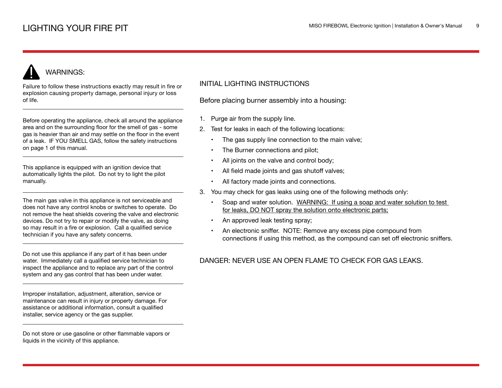# WARNINGS:

Failure to follow these instructions exactly may result in fire or explosion causing property damage, personal injury or loss of life.

Before operating the appliance, check all around the appliance area and on the surrounding floor for the smell of gas - some gas is heavier than air and may settle on the floor in the event of a leak. IF YOU SMELL GAS, follow the safety instructions on page 1 of this manual.

This appliance is equipped with an ignition device that automatically lights the pilot. Do not try to light the pilot manually.

The main gas valve in this appliance is not serviceable and does not have any control knobs or switches to operate. Do not remove the heat shields covering the valve and electronic devices. Do not try to repair or modify the valve, as doing so may result in a fire or explosion. Call a qualified service technician if you have any safety concerns.

Do not use this appliance if any part of it has been under water. Immediately call a qualified service technician to inspect the appliance and to replace any part of the control system and any gas control that has been under water.

Improper installation, adjustment, alteration, service or maintenance can result in injury or property damage. For assistance or additional information, consult a qualified installer, service agency or the gas supplier.

Do not store or use gasoline or other flammable vapors or liquids in the vicinity of this appliance.

#### INITIAL LIGHTING INSTRUCTIONS

Before placing burner assembly into a housing:

- 1. Purge air from the supply line.
- 2. Test for leaks in each of the following locations:
	- The gas supply line connection to the main valve;
	- The Burner connections and pilot;
	- All joints on the valve and control body;
	- All field made joints and gas shutoff valves;
	- All factory made joints and connections.
- 3. You may check for gas leaks using one of the following methods only:
	- Soap and water solution. WARNING: If using a soap and water solution to test for leaks, DO NOT spray the solution onto electronic parts;
	- An approved leak testing spray;
	- An electronic sniffer. NOTE: Remove any excess pipe compound from connections if using this method, as the compound can set off electronic sniffers.

### DANGER: NEVER USE AN OPEN FLAME TO CHECK FOR GAS LEAKS.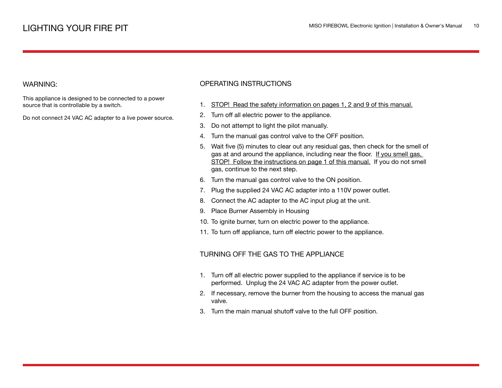#### WARNING:

This appliance is designed to be connected to a power source that is controllable by a switch.

Do not connect 24 VAC AC adapter to a live power source.

#### OPERATING INSTRUCTIONS

- 1. STOP! Read the safety information on pages 1, 2 and 9 of this manual.
- 2. Turn off all electric power to the appliance.
- 3. Do not attempt to light the pilot manually.
- 4. Turn the manual gas control valve to the OFF position.
- 5. Wait five (5) minutes to clear out any residual gas, then check for the smell of gas at and around the appliance, including near the floor. If you smell gas, STOP! Follow the instructions on page 1 of this manual. If you do not smell gas, continue to the next step.
- 6. Turn the manual gas control valve to the ON position.
- 7. Plug the supplied 24 VAC AC adapter into a 110V power outlet.
- 8. Connect the AC adapter to the AC input plug at the unit.
- 9. Place Burner Assembly in Housing
- 10. To ignite burner, turn on electric power to the appliance.
- 11. To turn off appliance, turn off electric power to the appliance.

#### TURNING OFF THE GAS TO THE APPLIANCE

- 1. Turn off all electric power supplied to the appliance if service is to be performed. Unplug the 24 VAC AC adapter from the power outlet.
- 2. If necessary, remove the burner from the housing to access the manual gas valve.
- 3. Turn the main manual shutoff valve to the full OFF position.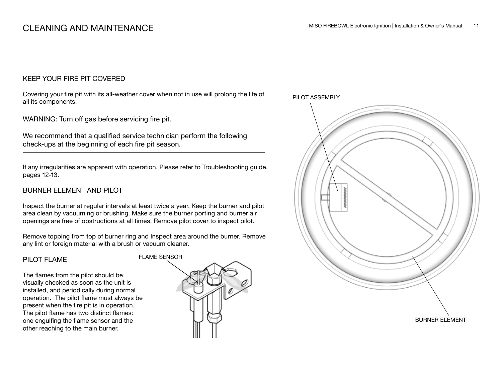#### KEEP YOUR FIRE PIT COVERED

Covering your fire pit with its all-weather cover when not in use will prolong the life of all its components.

WARNING: Turn off gas before servicing fire pit.

We recommend that a qualified service technician perform the following check-ups at the beginning of each fire pit season.

If any irregularities are apparent with operation. Please refer to Troubleshooting guide, pages 12-13.

#### BURNER ELEMENT AND PILOT

Inspect the burner at regular intervals at least twice a year. Keep the burner and pilot area clean by vacuuming or brushing. Make sure the burner porting and burner air openings are free of obstructions at all times. Remove pilot cover to inspect pilot.

Remove topping from top of burner ring and Inspect area around the burner. Remove any lint or foreign material with a brush or vacuum cleaner.

#### PILOT FLAME

The flames from the pilot should be visually checked as soon as the unit is installed, and periodically during normal operation. The pilot flame must always be present when the fire pit is in operation. The pilot flame has two distinct flames: one engulfing the flame sensor and the other reaching to the main burner.



PILOT ASSEMBLY

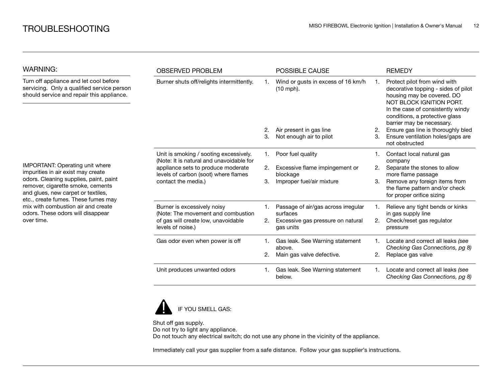| <b>WARNING:</b>                                                                                                                                                                                                                                   | <b>OBSERVED PROBLEM</b>                                                                                                                                                                 |    | <b>POSSIBLE CAUSE</b>                           |    | <b>REMEDY</b>                                                                                                                                                                                                                     |
|---------------------------------------------------------------------------------------------------------------------------------------------------------------------------------------------------------------------------------------------------|-----------------------------------------------------------------------------------------------------------------------------------------------------------------------------------------|----|-------------------------------------------------|----|-----------------------------------------------------------------------------------------------------------------------------------------------------------------------------------------------------------------------------------|
| Turn off appliance and let cool before<br>servicing. Only a qualified service person<br>should service and repair this appliance.                                                                                                                 | Burner shuts off/relights intermittently.                                                                                                                                               |    | Wind or gusts in excess of 16 km/h<br>(10 mph). |    | Protect pilot from wind with<br>decorative topping - sides of pilot<br>housing may be covered. DO<br>NOT BLOCK IGNITION PORT.<br>In the case of consistently windy<br>conditions, a protective glass<br>barrier may be necessary. |
|                                                                                                                                                                                                                                                   |                                                                                                                                                                                         | 2. | Air present in gas line                         | 2. | Ensure gas line is thoroughly bled                                                                                                                                                                                                |
|                                                                                                                                                                                                                                                   |                                                                                                                                                                                         | 3. | Not enough air to pilot                         | 3. | Ensure ventilation holes/gaps are<br>not obstructed                                                                                                                                                                               |
|                                                                                                                                                                                                                                                   | Unit is smoking / sooting excessively.<br>(Note: It is natural and unavoidable for<br>appliance sets to produce moderate<br>levels of carbon (soot) where flames<br>contact the media.) | 1. | Poor fuel quality                               |    | Contact local natural gas<br>company                                                                                                                                                                                              |
| IMPORTANT: Operating unit where<br>impurities in air exist may create                                                                                                                                                                             |                                                                                                                                                                                         | 2. | Excessive flame impingement or<br>blockage      | 2. | Separate the stones to allow<br>more flame passage                                                                                                                                                                                |
| odors. Cleaning supplies, paint, paint<br>remover, cigarette smoke, cements<br>and glues, new carpet or textiles,<br>etc., create fumes. These fumes may<br>mix with combustion air and create<br>odors. These odors will disappear<br>over time. |                                                                                                                                                                                         | 3. | Improper fuel/air mixture                       | 3. | Remove any foreign items from<br>the flame pattern and/or check<br>for proper orifice sizing                                                                                                                                      |
|                                                                                                                                                                                                                                                   | Burner is excessively noisy<br>(Note: The movement and combustion                                                                                                                       |    | Passage of air/gas across irregular<br>surfaces |    | Relieve any tight bends or kinks<br>in gas supply line                                                                                                                                                                            |
|                                                                                                                                                                                                                                                   | of gas will create low, unavoidable<br>levels of noise.)                                                                                                                                | 2. | Excessive gas pressure on natural<br>gas units  | 2. | Check/reset gas regulator<br>pressure                                                                                                                                                                                             |
|                                                                                                                                                                                                                                                   | Gas odor even when power is off                                                                                                                                                         | 1. | Gas leak. See Warning statement<br>above.       |    | Locate and correct all leaks (see<br>Checking Gas Connections, pg 8)                                                                                                                                                              |
|                                                                                                                                                                                                                                                   |                                                                                                                                                                                         | 2. | Main gas valve defective.                       | 2. | Replace gas valve                                                                                                                                                                                                                 |
|                                                                                                                                                                                                                                                   | Unit produces unwanted odors                                                                                                                                                            | 1. | Gas leak. See Warning statement<br>below.       | 1. | Locate and correct all leaks (see<br>Checking Gas Connections, pg 8)                                                                                                                                                              |



Shut off gas supply. Do not try to light any appliance. Do not touch any electrical switch; do not use any phone in the vicinity of the appliance.

Immediately call your gas supplier from a safe distance. Follow your gas supplier's instructions.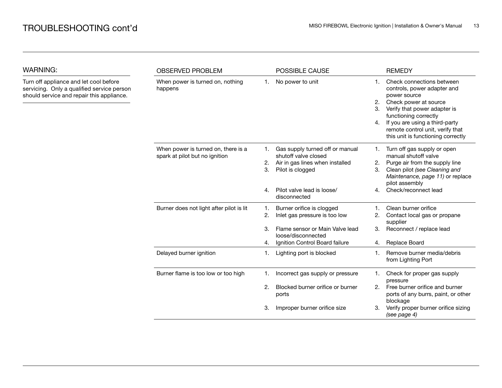WARNING:

| <b>WARNING:</b>                                                                                                                   | <b>OBSERVED PROBLEM</b>                                               |                | POSSIBLE CAUSE                                                                                                 |                           | <b>REMEDY</b>                                                                                                                                                                                                                                                          |
|-----------------------------------------------------------------------------------------------------------------------------------|-----------------------------------------------------------------------|----------------|----------------------------------------------------------------------------------------------------------------|---------------------------|------------------------------------------------------------------------------------------------------------------------------------------------------------------------------------------------------------------------------------------------------------------------|
| Turn off appliance and let cool before<br>servicing. Only a qualified service person<br>should service and repair this appliance. | When power is turned on, nothing<br>happens                           | 1.             | No power to unit                                                                                               | $1_{-}$<br>2.<br>3.<br>4. | Check connections between<br>controls, power adapter and<br>power source<br>Check power at source<br>Verify that power adapter is<br>functioning correctly<br>If you are using a third-party<br>remote control unit, verify that<br>this unit is functioning correctly |
|                                                                                                                                   | When power is turned on, there is a<br>spark at pilot but no ignition | 1.<br>2.<br>3. | Gas supply turned off or manual<br>shutoff valve closed<br>Air in gas lines when installed<br>Pilot is clogged | 1.<br>2.<br>3.            | Turn off gas supply or open<br>manual shutoff valve<br>Purge air from the supply line<br>Clean pilot (see Cleaning and<br>Maintenance, page 11) or replace<br>pilot assembly                                                                                           |
|                                                                                                                                   |                                                                       | 4.             | Pilot valve lead is loose/<br>disconnected                                                                     | 4.                        | Check/reconnect lead                                                                                                                                                                                                                                                   |
|                                                                                                                                   | Burner does not light after pilot is lit                              | 1.<br>2.<br>3. | Burner orifice is clogged<br>Inlet gas pressure is too low<br>Flame sensor or Main Valve lead                  | 2.<br>3.                  | Clean burner orifice<br>Contact local gas or propane<br>supplier<br>Reconnect / replace lead                                                                                                                                                                           |
|                                                                                                                                   |                                                                       | 4.             | loose/disconnected<br>Ignition Control Board failure                                                           | 4.                        | Replace Board                                                                                                                                                                                                                                                          |
|                                                                                                                                   | Delayed burner ignition                                               | 1.             | Lighting port is blocked                                                                                       | 1.                        | Remove burner media/debris<br>from Lighting Port                                                                                                                                                                                                                       |
|                                                                                                                                   | Burner flame is too low or too high                                   | 1.             | Incorrect gas supply or pressure                                                                               | 1.                        | Check for proper gas supply<br>pressure                                                                                                                                                                                                                                |
|                                                                                                                                   |                                                                       | 2.             | Blocked burner orifice or burner<br>ports                                                                      | 2.                        | Free burner orifice and burner<br>ports of any burrs, paint, or other<br>blockage                                                                                                                                                                                      |
|                                                                                                                                   |                                                                       | 3.             | Improper burner orifice size                                                                                   | З.                        | Verify proper burner orifice sizing<br>(see page 4)                                                                                                                                                                                                                    |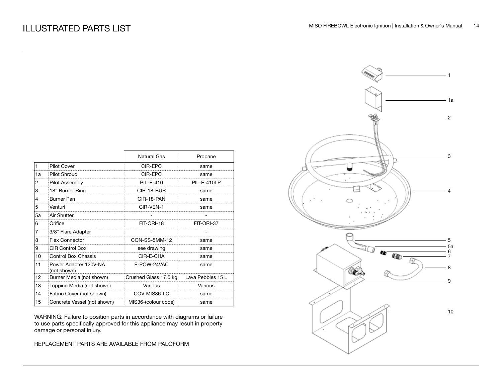|    |                                      | <b>Natural Gas</b>    | Propane           |
|----|--------------------------------------|-----------------------|-------------------|
| 1  | <b>Pilot Cover</b>                   | CIR-EPC               | same              |
| 1a | Pilot Shroud                         | CIR-FPC               | same              |
| 2  | Pilot Assembly                       | PIL-E-410             | PIL-E-410LP       |
| 3  | 18" Burner Ring                      | CIR-18-BUR            | same              |
| 4  | Burner Pan                           | CIR-18-PAN            | same              |
| 5  | Venturi                              | CIR-VEN-1             | same              |
| 5а | Air Shutter                          |                       |                   |
| 6  | Orifice                              | FIT-ORI-18            | FIT-ORI-37        |
| 7  | 3/8" Flare Adapter                   |                       |                   |
| 8  | <b>Flex Connector</b>                | CON-SS-5MM-12         | same              |
| 9  | <b>CIR Control Box</b>               | see drawing           | same              |
| 10 | Control Box Chassis                  | CIR-E-CHA             | same              |
| 11 | Power Adapter 120V-NA<br>(not shown) | E-POW-24VAC           | same              |
| 12 | Burner Media (not shown)             | Crushed Glass 17.5 kg | Lava Pebbles 15 L |
| 13 | Topping Media (not shown)            | Various               | Various           |
| 14 | Fabric Cover (not shown)             | COV-MIS36-LC          | same              |
| 15 | Concrete Vessel (not shown)          | MIS36-(colour code)   | same              |

WARNING: Failure to position parts in accordance with diagrams or failure to use parts specifically approved for this appliance may result in property damage or personal injury.

REPLACEMENT PARTS ARE AVAILABLE FROM PALOFORM

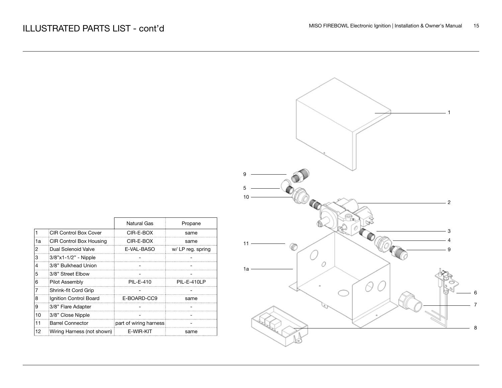|                                                             | $-1$<br>$\boldsymbol{9}$<br>$\mathbf 5$<br>10<br>$-2$           |
|-------------------------------------------------------------|-----------------------------------------------------------------|
| pane                                                        | $\circledcirc_{\Box}$                                           |
| ame<br>ame<br>eg. spring<br>$\qquad \qquad \blacksquare$    | O<br>О∼<br>$\ensuremath{\mathsf{3}}$<br>4<br>$11 -$<br>@<br>- 9 |
| -<br>$\overline{\phantom{a}}$<br>$-410LP$                   | 0<br>$1a -$                                                     |
| $\blacksquare$<br>ame<br>÷                                  | $\,6\,$<br>$\boldsymbol{7}$                                     |
| $\overline{\phantom{a}}$<br>$\overline{\phantom{0}}$<br>ame | $\,$ 8 $\,$                                                     |

|    |                            | Natural Gas            | Propane          |
|----|----------------------------|------------------------|------------------|
|    | CIR Control Box Cover      | CIR-E-BOX              | same             |
| 1а | CIR Control Box Housing    | CIR-E-BOX              | same             |
| 2  | Dual Solenoid Valve        | E-VAL-BASO             | w/LP reg. spring |
| 3  | 3/8"x1-1/2" - Nipple       |                        |                  |
| 4  | 3/8" Bulkhead Union        |                        |                  |
| 5  | 3/8" Street Elbow          |                        |                  |
| 6  | Pilot Assembly             | PII-F-410              | PIL-E-410LP      |
|    | Shrink-fit Cord Grip       |                        |                  |
| 8  | Ignition Control Board     | E-BOARD-CC9            | same             |
| 9  | 3/8" Flare Adapter         |                        |                  |
| 10 | 3/8" Close Nipple          |                        |                  |
| 11 | <b>Barrel Connector</b>    | part of wiring harness |                  |
| 12 | Wiring Harness (not shown) | E-WIR-KIT              | same             |

 $\Gamma$ 

₹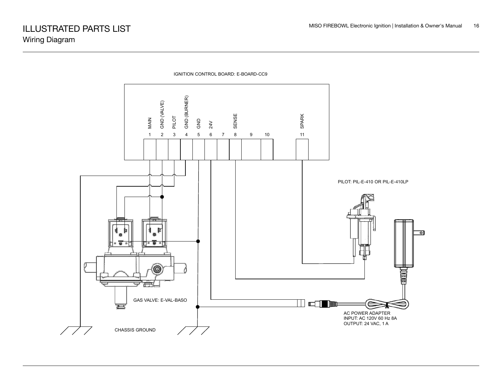

IGNITION CONTROL BOARD: E-BOARD-CC9